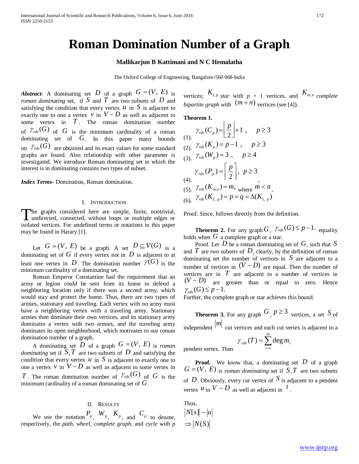# **Roman Domination Number of a Graph**

## **Mallikarjun B Kattimani and N C Hemalatha**

The Oxford College of Engineering, Bangalore-560 068-India

*Abstract***-** A dominating set *D* of a graph  $G = (V, E)$  is *roman dominating* set, if *S* and *T* are two subsets of *D* and satisfying the condition that every vertex  $u$  in  $S$  is adjacent to exactly one to one a vertex  $v$  in  $V - D$  as well as adjacent to some vertex in *T* . The roman domination number of  $\mathcal{V}_{rds}(G)$  of *G* is the minimum cardinality of a roman dominating set of *G*. In this paper many bounds on  $\mathcal{V}_{rds}(G)$  are obtained and its exact values for some standard graphs are found. Also relationship with other parameter is investigated. We introduce Roman dominating set in which the interest is in dominating contains two types of subset.

*Index Terms*- Domination, Roman domination.

#### I. INTRODUCTION

he graphs considered here are simple, finite, nontrivial, The graphs considered here are simple, finite, nontrivial, undirected, connected, without loops or multiple edges or isolated vertices. For undefined terms or notations in this paper may be found in Harary [1].

Let  $G = (V, E)$  be a graph. A set  $D \subseteq V(G)$  is a dominating set of  $G$  if every vertex not in  $D$  is adjacent to at least one vertex in *D*. The domination number  $\mathcal{V}(G)$  is the minimum cardinality of a dominating set.

 Roman Emperor Constantine had the requirement that an army or legion could be sent from its home to defend a neighboring location only if there was a second army, which would stay and protect the home. Thus, there are two types of armies, stationary and traveling. Each vertex with no army must have a neighboring vertex with a traveling army. Stationary armies then dominate their own vertices, and its stationary army dominates a vertex with two armies, and the traveling army dominates its open neighborhood, which motivates to our roman domination number of a graph.

A dominating set *D* of a graph  $G = (V, E)$  is *roman dominating* set if  $S$ ,  $T$  are two subsets of  $D$  and satisfying the condition that every vertex  $u$  in  $S$  is adjacent to exactly one to one a vertex  $v$  in  $V - D$  as well as adjacent to some vertex in *T*. The roman domination number of  $\mathcal{V}_{rds}(G)$  of *G* is the minimum cardinality of a roman dominating set of *G*.

### II. RESULTS

We use the notation  $P_p$ ,  $W_p$ ,  $K_p$ , and  $C_p$  to denote, respectively, the *path*, *wheel*, *complete graph*, and *cycle* with *p*  vertices;  $K_{1,p \text{ star with } p+1 \text{ vertices, and } K_{m,n} \text{ complete}}$ *bipartite graph with*  $(m+n)$  vertices (see [4]).

**Theorem 1.** 

$$
\gamma_{rds}(C_p) = \left[\frac{p}{2}\right] + 1, \quad p \ge 3
$$
\n
$$
\gamma_{rds}(K_p) = p - 1, \quad p \ge 3
$$
\n
$$
\gamma_{rds}(W_p) = 3, \quad p \ge 4
$$
\n
$$
\gamma_{rds}(P_p) = \left[\frac{p}{2}\right], \quad p \ge 3
$$
\n
$$
\gamma_{rds}(R_{m,n}) = m, \quad p \ge 3
$$
\n
$$
\gamma_{rds}(K_{m,n}) = m, \quad p \ge n
$$
\n
$$
\gamma_{rds}(K_{1,p}) = p = q = \Delta(K_{1,p})
$$

Proof. Since, follows directly from the definition.

**Theorem 2.** For any graph  $G$ ,  $\gamma_{\text{rds}}(G) \leq p-1$ . equality holds when  $G$  a complete graph or a star.

 Proof. Let *D* be a roman dominating set of *G*, such that *S* and  $T$  are two subsets of  $D$ , clearly, by the definition of roman dominating set the number of vertices in *S* are adjacent to a number of vertices in  $(V - D)$  are equal. Then the number of vertices are in  $T$  are adjacent to a number of vertices in  $(V - D)$  are greater than or equal to zero. Hence  $\gamma_{rds}(G) \leq p-1.$ 

Further, the complete graph or star achieves this bound.

**Theorem 3.** For any graph 
$$
G
$$
,  $p \ge 3$  vertices, a set  $S$  of  $|m|$ 

independent <sup>*m*</sup> cut vertices and each cut vertex is adjacent to a

$$
\gamma_{\text{rds}}(T) = \sum_{i=1}^{m} \deg m_i
$$

**Proof.** We know that, a dominating set D of a graph  $G = (V, E)$  is *roman dominating* set if  $S, T$  are two subsets of D. Obviously, every cut vertex of  $S$  is adjacent to a pendent vertex  $u$  in  $V - D$  as well as adjacent in  $t$ .

Thus,  $|N[s] - |u|$  $\Rightarrow$   $|N(S)|$ 

pendent vertex. Then